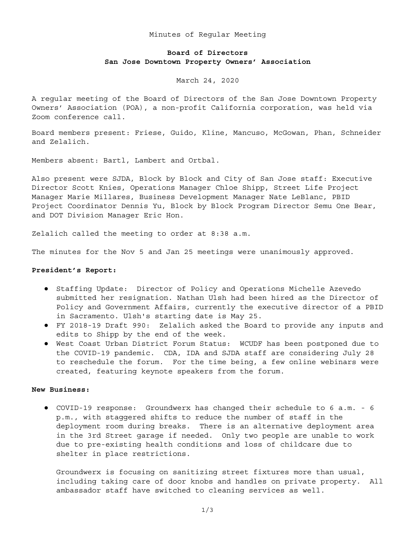#### Minutes of Regular Meeting

# **Board of Directors San Jose Downtown Property Owners' Association**

March 24, 2020

A regular meeting of the Board of Directors of the San Jose Downtown Property Owners' Association (POA), a non-profit California corporation, was held via Zoom conference call.

Board members present: Friese, Guido, Kline, Mancuso, McGowan, Phan, Schneider and Zelalich.

Members absent: Bartl, Lambert and Ortbal.

Also present were SJDA, Block by Block and City of San Jose staff: Executive Director Scott Knies, Operations Manager Chloe Shipp, Street Life Project Manager Marie Millares, Business Development Manager Nate LeBlanc, PBID Project Coordinator Dennis Yu, Block by Block Program Director Semu One Bear, and DOT Division Manager Eric Hon.

Zelalich called the meeting to order at 8:38 a.m.

The minutes for the Nov 5 and Jan 25 meetings were unanimously approved.

#### **President's Report:**

- Staffing Update: Director of Policy and Operations Michelle Azevedo submitted her resignation. Nathan Ulsh had been hired as the Director of Policy and Government Affairs, currently the executive director of a PBID in Sacramento. Ulsh's starting date is May 25.
- FY 2018-19 Draft 990: Zelalich asked the Board to provide any inputs and edits to Shipp by the end of the week.
- West Coast Urban District Forum Status: WCUDF has been postponed due to the COVID-19 pandemic. CDA, IDA and SJDA staff are considering July 28 to reschedule the forum. For the time being, a few online webinars were created, featuring keynote speakers from the forum.

### **New Business:**

● COVID-19 response: Groundwerx has changed their schedule to 6 a.m. - 6 p.m., with staggered shifts to reduce the number of staff in the deployment room during breaks. There is an alternative deployment area in the 3rd Street garage if needed. Only two people are unable to work due to pre-existing health conditions and loss of childcare due to shelter in place restrictions.

Groundwerx is focusing on sanitizing street fixtures more than usual, including taking care of door knobs and handles on private property. All ambassador staff have switched to cleaning services as well.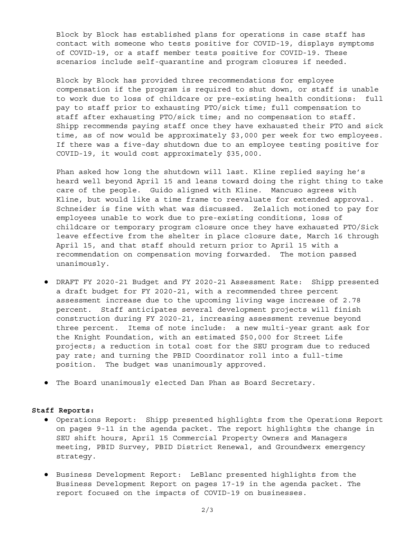Block by Block has established plans for operations in case staff has contact with someone who tests positive for COVID-19, displays symptoms of COVID-19, or a staff member tests positive for COVID-19. These scenarios include self-quarantine and program closures if needed.

Block by Block has provided three recommendations for employee compensation if the program is required to shut down, or staff is unable to work due to loss of childcare or pre-existing health conditions: full pay to staff prior to exhausting PTO/sick time; full compensation to staff after exhausting PTO/sick time; and no compensation to staff. Shipp recommends paying staff once they have exhausted their PTO and sick time, as of now would be approximately \$3,000 per week for two employees. If there was a five-day shutdown due to an employee testing positive for COVID-19, it would cost approximately \$35,000.

Phan asked how long the shutdown will last. Kline replied saying he's heard well beyond April 15 and leans toward doing the right thing to take care of the people. Guido aligned with Kline. Mancuso agrees with Kline, but would like a time frame to reevaluate for extended approval. Schneider is fine with what was discussed. Zelalich motioned to pay for employees unable to work due to pre-existing conditions, loss of childcare or temporary program closure once they have exhausted PTO/Sick leave effective from the shelter in place closure date, March 16 through April 15, and that staff should return prior to April 15 with a recommendation on compensation moving forwarded. The motion passed unanimously.

- DRAFT FY 2020-21 Budget and FY 2020-21 Assessment Rate: Shipp presented a draft budget for FY 2020-21, with a recommended three percent assessment increase due to the upcoming living wage increase of 2.78 percent. Staff anticipates several development projects will finish construction during FY 2020-21, increasing assessment revenue beyond three percent. Items of note include: a new multi-year grant ask for the Knight Foundation, with an estimated \$50,000 for Street Life projects; a reduction in total cost for the SEU program due to reduced pay rate; and turning the PBID Coordinator roll into a full-time position. The budget was unanimously approved.
- The Board unanimously elected Dan Phan as Board Secretary.

## **Staff Reports:**

- Operations Report: Shipp presented highlights from the Operations Report on pages 9-11 in the agenda packet. The report highlights the change in SEU shift hours, April 15 Commercial Property Owners and Managers meeting, PBID Survey, PBID District Renewal, and Groundwerx emergency strategy.
- Business Development Report: LeBlanc presented highlights from the Business Development Report on pages 17-19 in the agenda packet. The report focused on the impacts of COVID-19 on businesses.